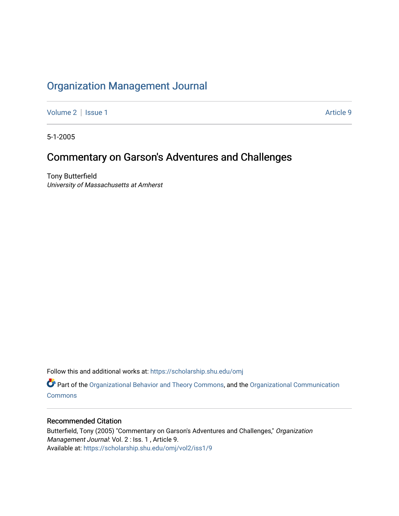## [Organization Management Journal](https://scholarship.shu.edu/omj)

[Volume 2](https://scholarship.shu.edu/omj/vol2) | [Issue 1](https://scholarship.shu.edu/omj/vol2/iss1) Article 9

5-1-2005

## Commentary on Garson's Adventures and Challenges

Tony Butterfield University of Massachusetts at Amherst

Follow this and additional works at: [https://scholarship.shu.edu/omj](https://scholarship.shu.edu/omj?utm_source=scholarship.shu.edu%2Fomj%2Fvol2%2Fiss1%2F9&utm_medium=PDF&utm_campaign=PDFCoverPages) 

Part of the [Organizational Behavior and Theory Commons,](http://network.bepress.com/hgg/discipline/639?utm_source=scholarship.shu.edu%2Fomj%2Fvol2%2Fiss1%2F9&utm_medium=PDF&utm_campaign=PDFCoverPages) and the [Organizational Communication](http://network.bepress.com/hgg/discipline/335?utm_source=scholarship.shu.edu%2Fomj%2Fvol2%2Fiss1%2F9&utm_medium=PDF&utm_campaign=PDFCoverPages) **[Commons](http://network.bepress.com/hgg/discipline/335?utm_source=scholarship.shu.edu%2Fomj%2Fvol2%2Fiss1%2F9&utm_medium=PDF&utm_campaign=PDFCoverPages)** 

## Recommended Citation

Butterfield, Tony (2005) "Commentary on Garson's Adventures and Challenges," Organization Management Journal: Vol. 2 : Iss. 1, Article 9. Available at: [https://scholarship.shu.edu/omj/vol2/iss1/9](https://scholarship.shu.edu/omj/vol2/iss1/9?utm_source=scholarship.shu.edu%2Fomj%2Fvol2%2Fiss1%2F9&utm_medium=PDF&utm_campaign=PDFCoverPages)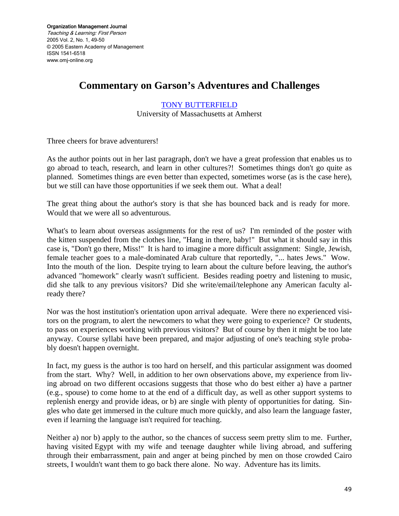Organization Management Journal Teaching & Learning: First Person 2005 Vol. 2, No. 1, 49-50 © 2005 Eastern Academy of Management ISSN 1541-6518 www.omj-online.org

## **Commentary on Garson's Adventures and Challenges**

[TONY BUTTERFIELD](mailto:dabutter@mgmt.umass.edu)

University of Massachusetts at Amherst

Three cheers for brave adventurers!

As the author points out in her last paragraph, don't we have a great profession that enables us to go abroad to teach, research, and learn in other cultures?! Sometimes things don't go quite as planned. Sometimes things are even better than expected, sometimes worse (as is the case here), but we still can have those opportunities if we seek them out. What a deal!

The great thing about the author's story is that she has bounced back and is ready for more. Would that we were all so adventurous.

What's to learn about overseas assignments for the rest of us? I'm reminded of the poster with the kitten suspended from the clothes line, "Hang in there, baby!" But what it should say in this case is, "Don't go there, Miss!" It is hard to imagine a more difficult assignment: Single, Jewish, female teacher goes to a male-dominated Arab culture that reportedly, "... hates Jews." Wow. Into the mouth of the lion. Despite trying to learn about the culture before leaving, the author's advanced "homework" clearly wasn't sufficient. Besides reading poetry and listening to music, did she talk to any previous visitors? Did she write/email/telephone any American faculty already there?

Nor was the host institution's orientation upon arrival adequate. Were there no experienced visitors on the program, to alert the newcomers to what they were going to experience? Or students, to pass on experiences working with previous visitors? But of course by then it might be too late anyway. Course syllabi have been prepared, and major adjusting of one's teaching style probably doesn't happen overnight.

In fact, my guess is the author is too hard on herself, and this particular assignment was doomed from the start. Why? Well, in addition to her own observations above, my experience from living abroad on two different occasions suggests that those who do best either a) have a partner (e.g., spouse) to come home to at the end of a difficult day, as well as other support systems to replenish energy and provide ideas, or b) are single with plenty of opportunities for dating. Singles who date get immersed in the culture much more quickly, and also learn the language faster, even if learning the language isn't required for teaching.

Neither a) nor b) apply to the author, so the chances of success seem pretty slim to me. Further, having visited Egypt with my wife and teenage daughter while living abroad, and suffering through their embarrassment, pain and anger at being pinched by men on those crowded Cairo streets, I wouldn't want them to go back there alone. No way. Adventure has its limits.